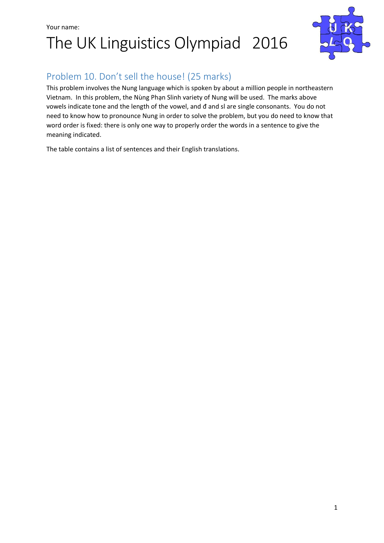## Your name: The UK Linguistics Olympiad 2016



### Problem 10. Don't sell the house! (25 marks)

This problem involves the Nung language which is spoken by about a million people in northeastern Vietnam. In this problem, the Nùng Phạn Slinh variety of Nung will be used. The marks above vowels indicate tone and the length of the vowel, and đ and sl are single consonants. You do not need to know how to pronounce Nung in order to solve the problem, but you do need to know that word order is fixed: there is only one way to properly order the words in a sentence to give the meaning indicated.

The table contains a list of sentences and their English translations.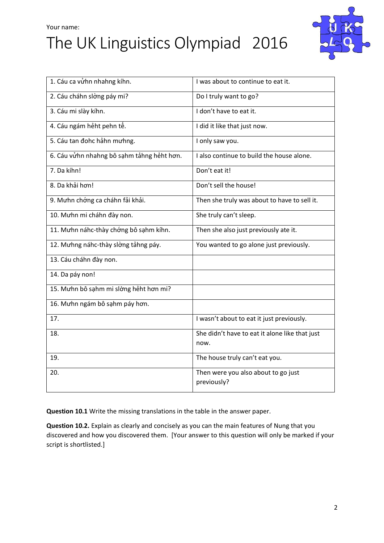## Your name: The UK Linguistics Olympiad 2016



| 1. Cáu ca vửhn nhahng kíhn.                | I was about to continue to eat it.                     |
|--------------------------------------------|--------------------------------------------------------|
| 2. Cáu cháhn slờng páy mi?                 | Do I truly want to go?                                 |
| 3. Cáu mi slày kíhn.                       | I don't have to eat it.                                |
| 4. Cáu ngám hẻht pehn tế.                  | I did it like that just now.                           |
| 5. Cáu tan đohc hảhn mưhng.                | I only saw you.                                        |
| 6. Cáu vửhn nhahng bô sạhm tảhng hẻht hơn. | I also continue to build the house alone.              |
| 7. Da kíhn!                                | Don't eat it!                                          |
| 8. Da khải hơn!                            | Don't sell the house!                                  |
| 9. Mưhn chớng ca cháhn fải khải.           | Then she truly was about to have to sell it.           |
| 10. Mưhn mi cháhn đày non.                 | She truly can't sleep.                                 |
| 11. Mưhn náhc-thày chớng bô sạhm kíhn.     | Then she also just previously ate it.                  |
| 12. Mưhng náhc-thày slờng tảhng páy.       | You wanted to go alone just previously.                |
| 13. Cáu cháhn đày non.                     |                                                        |
| 14. Da páy non!                            |                                                        |
| 15. Mưhn bô sạhm mi slờng hẻht hơn mi?     |                                                        |
| 16. Mưhn ngám bô sạhm páy hơn.             |                                                        |
| 17.                                        | I wasn't about to eat it just previously.              |
| 18.                                        | She didn't have to eat it alone like that just<br>now. |
| 19.                                        | The house truly can't eat you.                         |
| 20.                                        | Then were you also about to go just<br>previously?     |

**Question 10.1** Write the missing translations in the table in the answer paper.

**Question 10.2.** Explain as clearly and concisely as you can the main features of Nung that you discovered and how you discovered them. [Your answer to this question will only be marked if your script is shortlisted.]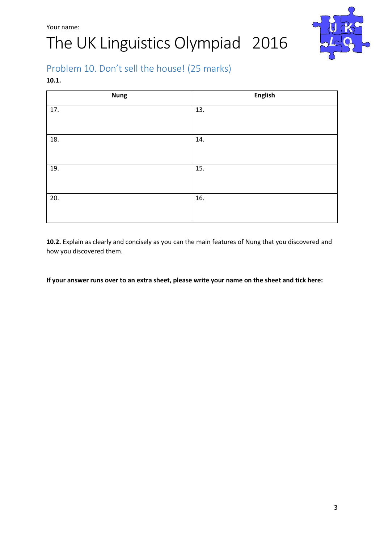

## Problem 10. Don't sell the house! (25 marks)

#### **10.1.**

| <b>Nung</b> | <b>English</b> |
|-------------|----------------|
| 17.         | 13.            |
| 18.         | 14.            |
| 19.         | 15.            |
| 20.         | 16.            |

**10.2.** Explain as clearly and concisely as you can the main features of Nung that you discovered and how you discovered them.

**If your answer runs over to an extra sheet, please write your name on the sheet and tick here:**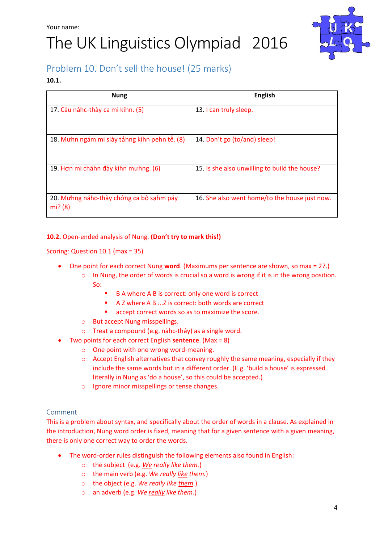

## Problem 10. Don't sell the house! (25 marks)

#### **10.1.**

| <b>Nung</b>                                         | <b>English</b>                                |
|-----------------------------------------------------|-----------------------------------------------|
| 17. Cáu náhc-thày ca mi kíhn. (5)                   | 13. I can truly sleep.                        |
| 18. Mư hn ngám mi slày tả hng kí hn pehn tế. (8)    | 14. Don't go (to/and) sleep!                  |
| 19. Hơn mi cháhn đày kíhn mư hng. (6)               | 15. Is she also unwilling to build the house? |
| 20. Mưhng náhc-thày chớng ca bô sạhm páy<br>mi? (8) | 16. She also went home/to the house just now. |

#### **10.2.** Open-ended analysis of Nung. **(Don't try to mark this!)**

Scoring: Question 10.1 (max = 35)

- One point for each correct Nung **word**. (Maximums per sentence are shown, so max = 27.)
	- $\circ$  In Nung, the order of words is crucial so a word is wrong if it is in the wrong position. So:
		- B A where A B is correct: only one word is correct
		- A Z where A B ...Z is correct: both words are correct
		- **accept correct words so as to maximize the score.**
	- o But accept Nung misspellings.
	- o Treat a compound (e.g. náhc-thày) as a single word.
- Two points for each correct English **sentence**. (Max = 8)
	- o One point with one wrong word-meaning.
	- o Accept English alternatives that convey roughly the same meaning, especially if they include the same words but in a different order. (E.g. 'build a house' is expressed literally in Nung as 'do a house', so this could be accepted.)
	- o Ignore minor misspellings or tense changes.

#### Comment

This is a problem about syntax, and specifically about the order of words in a clause. As explained in the introduction, Nung word order is fixed, meaning that for a given sentence with a given meaning, there is only one correct way to order the words.

- The word-order rules distinguish the following elements also found in English:
	- o the subject (e.g. *We really like them.*)
	- o the main verb (e.g. *We really like them.*)
	- o the object (e.g. *We really like them.*)
	- o an adverb (e.g. *We really like them.*)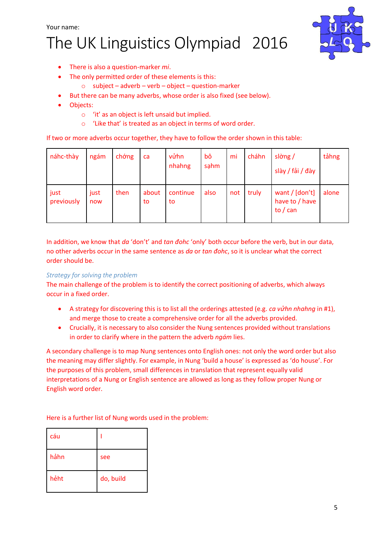

- There is also a question-marker *mi*.
- The only permitted order of these elements is this:
	- $\circ$  subject adverb verb object question-marker
- But there can be many adverbs, whose order is also fixed (see below).
- Objects:
	- o 'it' as an object is left unsaid but implied.
	- o 'Like that' is treated as an object in terms of word order.

If two or more adverbs occur together, they have to follow the order shown in this table:

| náhc-thày          | ngám        | chớng | ca          | vửhn<br>nhahng | bô<br>sahm | mi  | cháhn | $sl\grave{\sigma}$ ng /<br>slày / fải / đày      | tảhng |
|--------------------|-------------|-------|-------------|----------------|------------|-----|-------|--------------------------------------------------|-------|
| just<br>previously | just<br>now | then  | about<br>to | continue<br>to | also       | not | truly | want $/$ [don't]<br>have to / have<br>to $/$ can | alone |

In addition, we know that *da* 'don't' and *tan đohc* 'only' both occur before the verb, but in our data, no other adverbs occur in the same sentence as *da* or *tan đohc*, so it is unclear what the correct order should be.

#### *Strategy for solving the problem*

The main challenge of the problem is to identify the correct positioning of adverbs, which always occur in a fixed order.

- A strategy for discovering this is to list all the orderings attested (e.g. *ca vửhn nhahng* in #1), and merge those to create a comprehensive order for all the adverbs provided.
- Crucially, it is necessary to also consider the Nung sentences provided without translations in order to clarify where in the pattern the adverb *ngám* lies.

A secondary challenge is to map Nung sentences onto English ones: not only the word order but also the meaning may differ slightly. For example, in Nung 'build a house' is expressed as 'do house'. For the purposes of this problem, small differences in translation that represent equally valid interpretations of a Nung or English sentence are allowed as long as they follow proper Nung or English word order.

Here is a further list of Nung words used in the problem:

| cáu  |           |
|------|-----------|
| hảhn | see       |
| hẻht | do, build |